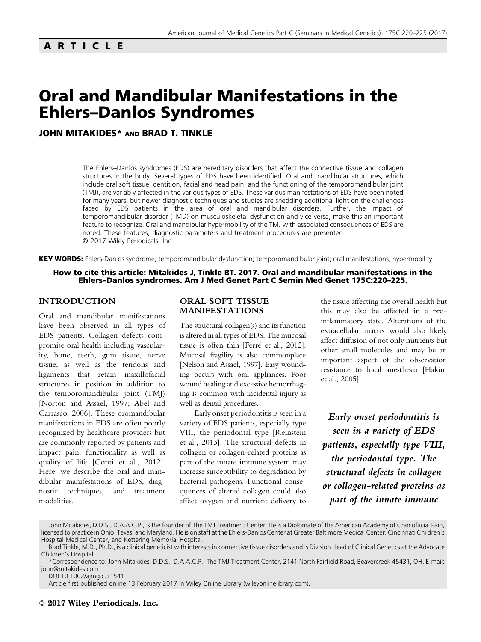# Oral and Mandibular Manifestations in the Ehlers–Danlos Syndromes

JOHN MITAKIDES\* AND BRAD T. TINKLE

The Ehlers–Danlos syndromes (EDS) are hereditary disorders that affect the connective tissue and collagen structures in the body. Several types of EDS have been identified. Oral and mandibular structures, which include oral soft tissue, dentition, facial and head pain, and the functioning of the temporomandibular joint (TMJ), are variably affected in the various types of EDS. These various manifestations of EDS have been noted for many years, but newer diagnostic techniques and studies are shedding additional light on the challenges faced by EDS patients in the area of oral and mandibular disorders. Further, the impact of temporomandibular disorder (TMD) on musculoskeletal dysfunction and vice versa, make this an important feature to recognize. Oral and mandibular hypermobility of the TMJ with associated consequences of EDS are noted. These features, diagnostic parameters and treatment procedures are presented. © 2017 Wiley Periodicals, Inc.

KEY WORDS: Ehlers-Danlos syndrome; temporomandibular dysfunction; temporomandibular joint; oral manifestations; hypermobility

How to cite this article: Mitakides J, Tinkle BT. 2017. Oral and mandibular manifestations in the Ehlers–Danlos syndromes. Am J Med Genet Part C Semin Med Genet 175C:220–225.

#### INTRODUCTION

Oral and mandibular manifestations have been observed in all types of EDS patients. Collagen defects compromise oral health including vascularity, bone, teeth, gum tissue, nerve tissue, as well as the tendons and ligaments that retain maxillofacial structures in position in addition to the temporomandibular joint (TMJ) [Norton and Assael, 1997; Abel and Carrasco, 2006]. These oromandibular manifestations in EDS are often poorly recognized by healthcare providers but are commonly reported by patients and impact pain, functionality as well as quality of life [Conti et al., 2012]. Here, we describe the oral and mandibular manifestations of EDS, diagnostic techniques, and treatment modalities.

# ORAL SOFT TISSUE MANIFESTATIONS

The structural collagen(s) and its function is altered in all types of EDS. The mucosal tissue is often thin [Ferré et al., 2012]. Mucosal fragility is also commonplace [Nelson and Assael, 1997]. Easy wounding occurs with oral appliances. Poor wound healing and excessive hemorrhaging is common with incidental injury as well as dental procedures.

Early onset periodontitis is seen in a variety of EDS patients, especially type VIII, the periodontal type [Reinstein et al., 2013]. The structural defects in collagen or collagen-related proteins as part of the innate immune system may increase susceptibility to degradation by bacterial pathogens. Functional consequences of altered collagen could also affect oxygen and nutrient delivery to the tissue affecting the overall health but this may also be affected in a proinflammatory state. Alterations of the extracellular matrix would also likely affect diffusion of not only nutrients but other small molecules and may be an important aspect of the observation resistance to local anesthesia [Hakim et al., 2005].

Early onset periodontitis is seen in a variety of EDS patients, especially type VIII, the periodontal type. The structural defects in collagen or collagen-related proteins as part of the innate immune

John Mitakides, D.D.S., D.A.A.C.P., is the founder of The TMJ Treatment Center. He is a Diplomate of the American Academy of Craniofacial Pain, licensed to practice in Ohio, Texas, and Maryland. He is on staff at the Ehlers-Danlos Center at Greater Baltimore Medical Center, Cincinnati Children's Hospital Medical Center, and Kettering Memorial Hospital.

Brad Tinkle, M.D., Ph.D., is a clinical geneticist with interests in connective tissue disorders and is Division Head of Clinical Genetics at the Advocate Children's Hospital.

<sup>\*</sup>Correspondence to: John Mitakides, D.D.S., D.A.A.C.P., The TMJ Treatment Center, 2141 North Fairfield Road, Beavercreek 45431, OH. E-mail: john@mitakides.com

DOI 10.1002/ajmg.c.31541

Article first published online 13 February 2017 in Wiley Online Library (wileyonlinelibrary.com).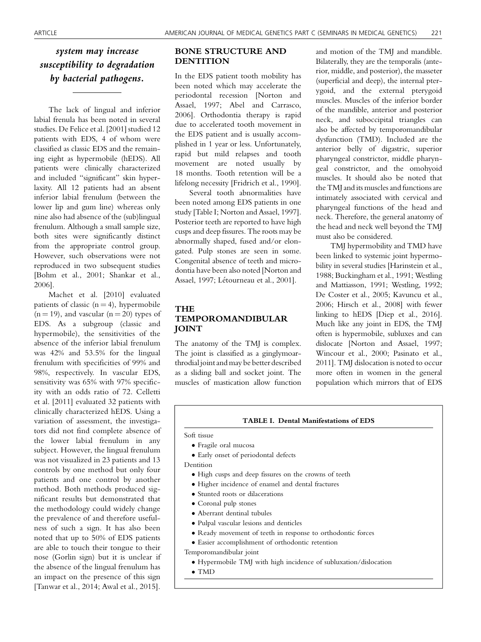# system may increase susceptibility to degradation by bacterial pathogens.

The lack of lingual and inferior labial frenula has been noted in several studies. De Felice et al. [2001] studied 12 patients with EDS, 4 of whom were classified as classic EDS and the remaining eight as hypermobile (hEDS). All patients were clinically characterized and included "significant" skin hyperlaxity. All 12 patients had an absent inferior labial frenulum (between the lower lip and gum line) whereas only nine also had absence of the (sub)lingual frenulum. Although a small sample size, both sites were significantly distinct from the appropriate control group. However, such observations were not reproduced in two subsequent studies [Bohm et al., 2001; Shankar et al., 2006].

Machet et al. [2010] evaluated patients of classic  $(n = 4)$ , hypermobile  $(n = 19)$ , and vascular  $(n = 20)$  types of EDS. As a subgroup (classic and hypermobile), the sensitivities of the absence of the inferior labial frenulum was 42% and 53.5% for the lingual frenulum with specificities of 99% and 98%, respectively. In vascular EDS, sensitivity was 65% with 97% specificity with an odds ratio of 72. Celletti et al. [2011] evaluated 32 patients with clinically characterized hEDS. Using a variation of assessment, the investigators did not find complete absence of the lower labial frenulum in any subject. However, the lingual frenulum was not visualized in 23 patients and 13 controls by one method but only four patients and one control by another method. Both methods produced significant results but demonstrated that the methodology could widely change the prevalence of and therefore usefulness of such a sign. It has also been noted that up to 50% of EDS patients are able to touch their tongue to their nose (Gorlin sign) but it is unclear if the absence of the lingual frenulum has an impact on the presence of this sign [Tanwar et al., 2014; Awal et al., 2015].

# BONE STRUCTURE AND **DENTITION**

In the EDS patient tooth mobility has been noted which may accelerate the periodontal recession [Norton and Assael, 1997; Abel and Carrasco, 2006]. Orthodontia therapy is rapid due to accelerated tooth movement in the EDS patient and is usually accomplished in 1 year or less. Unfortunately, rapid but mild relapses and tooth movement are noted usually by 18 months. Tooth retention will be a lifelong necessity [Fridrich et al., 1990].

Several tooth abnormalities have been noted among EDS patients in one study [Table I; Norton and Assael, 1997]. Posterior teeth are reported to have high cusps and deep fissures. The roots may be abnormally shaped, fused and/or elongated. Pulp stones are seen in some. Congenital absence of teeth and microdontia have been also noted [Norton and Assael, 1997; Létourneau et al., 2001].

# THE TEMPOROMANDIBULAR JOINT

The anatomy of the TMJ is complex. The joint is classified as a ginglymoarthrodial joint and may be better described as a sliding ball and socket joint. The muscles of mastication allow function

and motion of the TMJ and mandible. Bilaterally, they are the temporalis (anterior, middle, and posterior), the masseter (superficial and deep), the internal pterygoid, and the external pterygoid muscles. Muscles of the inferior border of the mandible, anterior and posterior neck, and suboccipital triangles can also be affected by temporomandibular dysfunction (TMD). Included are the anterior belly of digastric, superior pharyngeal constrictor, middle pharyngeal constrictor, and the omohyoid muscles. It should also be noted that the TMJ and its muscles and functions are intimately associated with cervical and pharyngeal functions of the head and neck. Therefore, the general anatomy of the head and neck well beyond the TMJ must also be considered.

TMJ hypermobility and TMD have been linked to systemic joint hypermobility in several studies [Harinstein et al., 1988; Buckingham et al., 1991; Westling and Mattiasson, 1991; Westling, 1992; De Coster et al., 2005; Kavuncu et al., 2006; Hirsch et al., 2008] with fewer linking to hEDS [Diep et al., 2016]. Much like any joint in EDS, the TMJ often is hypermobile, subluxes and can dislocate [Norton and Assael, 1997; Wincour et al., 2000; Pasinato et al., 2011]. TMJ dislocation is noted to occur more often in women in the general population which mirrors that of EDS

### TABLE I. Dental Manifestations of EDS

Soft tissue

- Fragile oral mucosa
- Early onset of periodontal defects

Dentition

- High cusps and deep fissures on the crowns of teeth
- Higher incidence of enamel and dental fractures
- Stunted roots or dilacerations
- Coronal pulp stones
- Aberrant dentinal tubules
- Pulpal vascular lesions and denticles
- Ready movement of teeth in response to orthodontic forces
- Easier accomplishment of orthodontic retention

Temporomandibular joint

- Hypermobile TMJ with high incidence of subluxation/dislocation
- TMD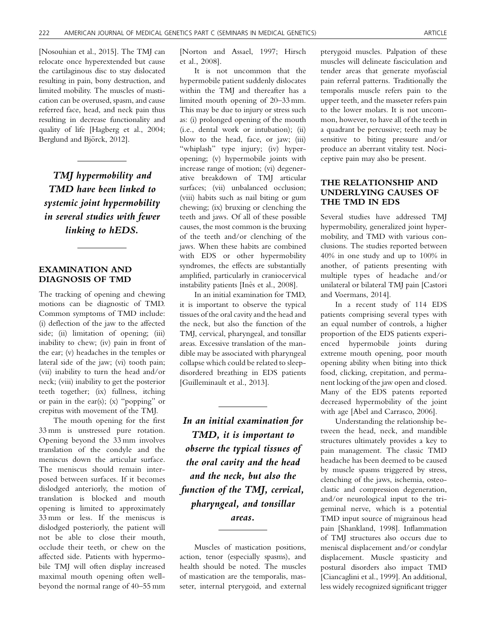[Nosouhian et al., 2015]. The TMJ can relocate once hyperextended but cause the cartilaginous disc to stay dislocated resulting in pain, bony destruction, and limited mobility. The muscles of mastication can be overused, spasm, and cause referred face, head, and neck pain thus resulting in decrease functionality and quality of life [Hagberg et al., 2004; Berglund and Björck, 2012].

TMJ hypermobility and TMD have been linked to systemic joint hypermobility in several studies with fewer linking to hEDS.

# EXAMINATION AND DIAGNOSIS OF TMD

The tracking of opening and chewing motions can be diagnostic of TMD. Common symptoms of TMD include: (i) deflection of the jaw to the affected side; (ii) limitation of opening; (iii) inability to chew; (iv) pain in front of the ear; (v) headaches in the temples or lateral side of the jaw; (vi) tooth pain; (vii) inability to turn the head and/or neck; (viii) inability to get the posterior teeth together; (ix) fullness, itching or pain in the ear(s); (x) "popping" or crepitus with movement of the TMJ.

The mouth opening for the first 33 mm is unstressed pure rotation. Opening beyond the 33 mm involves translation of the condyle and the meniscus down the articular surface. The meniscus should remain interposed between surfaces. If it becomes dislodged anteriorly, the motion of translation is blocked and mouth opening is limited to approximately 33 mm or less. If the meniscus is dislodged posteriorly, the patient will not be able to close their mouth, occlude their teeth, or chew on the affected side. Patients with hypermobile TMJ will often display increased maximal mouth opening often wellbeyond the normal range of 40–55 mm

[Norton and Assael, 1997; Hirsch et al., 2008].

It is not uncommon that the hypermobile patient suddenly dislocates within the TMJ and thereafter has a limited mouth opening of 20–33 mm. This may be due to injury or stress such as: (i) prolonged opening of the mouth (i.e., dental work or intubation); (ii) blow to the head, face, or jaw; (iii) "whiplash" type injury; (iv) hyperopening; (v) hypermobile joints with increase range of motion; (vi) degenerative breakdown of TMJ articular surfaces; (vii) unbalanced occlusion; (viii) habits such as nail biting or gum chewing; (ix) bruxing or clenching the teeth and jaws. Of all of these possible causes, the most common is the bruxing of the teeth and/or clenching of the jaws. When these habits are combined with EDS or other hypermobility syndromes, the effects are substantially amplified, particularly in craniocervical instability patients [Inês et al., 2008].

In an initial examination for TMD, it is important to observe the typical tissues of the oral cavity and the head and the neck, but also the function of the TMJ, cervical, pharyngeal, and tonsillar areas. Excessive translation of the mandible may be associated with pharyngeal collapse which could be related to sleepdisordered breathing in EDS patients [Guilleminault et al., 2013].

In an initial examination for TMD, it is important to observe the typical tissues of the oral cavity and the head and the neck, but also the function of the TMJ, cervical, pharyngeal, and tonsillar areas.

Muscles of mastication positions, action, tenor (especially spasms), and health should be noted. The muscles of mastication are the temporalis, masseter, internal pterygoid, and external pterygoid muscles. Palpation of these muscles will delineate fasciculation and tender areas that generate myofascial pain referral patterns. Traditionally the temporalis muscle refers pain to the upper teeth, and the masseter refers pain to the lower molars. It is not uncommon, however, to have all of the teeth in a quadrant be percussive; teeth may be sensitive to biting pressure and/or produce an aberrant vitality test. Nociceptive pain may also be present.

# THE RELATIONSHIP AND UNDERLYING CAUSES OF THE TMD IN EDS

Several studies have addressed TMJ hypermobility, generalized joint hypermobility, and TMD with various conclusions. The studies reported between 40% in one study and up to 100% in another, of patients presenting with multiple types of headache and/or unilateral or bilateral TMJ pain [Castori and Voermans, 2014].

In a recent study of 114 EDS patients comprising several types with an equal number of controls, a higher proportion of the EDS patients experienced hypermobile joints during extreme mouth opening, poor mouth opening ability when biting into thick food, clicking, crepitation, and permanent locking of the jaw open and closed. Many of the EDS patents reported decreased hypermobility of the joint with age [Abel and Carrasco, 2006].

Understanding the relationship between the head, neck, and mandible structures ultimately provides a key to pain management. The classic TMD headache has been deemed to be caused by muscle spasms triggered by stress, clenching of the jaws, ischemia, osteoclastic and compression degeneration, and/or neurological input to the trigeminal nerve, which is a potential TMD input source of migrainous head pain [Shankland, 1998]. Inflammation of TMJ structures also occurs due to meniscal displacement and/or condylar displacement. Muscle spasticity and postural disorders also impact TMD [Ciancaglini et al., 1999]. An additional, less widely recognized significant trigger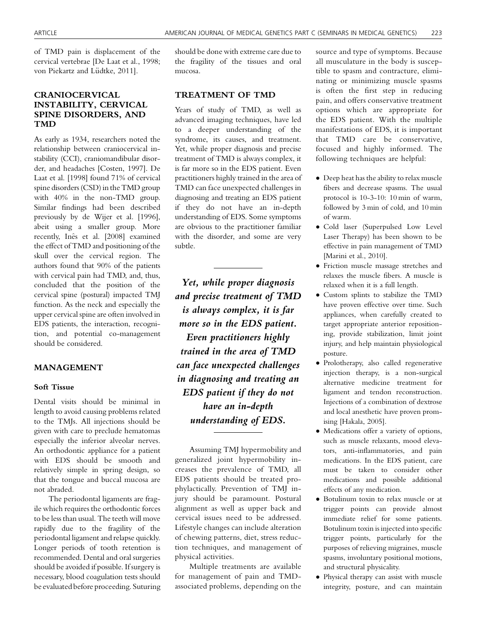of TMD pain is displacement of the cervical vertebrae [De Laat et al., 1998; von Piekartz and Lüdtke, 2011].

# CRANIOCERVICAL INSTABILITY, CERVICAL SPINE DISORDERS, AND TMD

As early as 1934, researchers noted the relationship between craniocervical instability (CCI), craniomandibular disorder, and headaches [Costen, 1997]. De Laat et al. [1998] found 71% of cervical spine disorders (CSD) in the TMD group with 40% in the non-TMD group. Similar findings had been described previously by de Wijer et al. [1996], abeit using a smaller group. More recently, Inês et al. [2008] examined the effect of TMD and positioning of the skull over the cervical region. The authors found that 90% of the patients with cervical pain had TMD, and, thus, concluded that the position of the cervical spine (postural) impacted TMJ function. As the neck and especially the upper cervical spine are often involved in EDS patients, the interaction, recognition, and potential co-management should be considered.

### MANAGEMENT

# Soft Tissue

Dental visits should be minimal in length to avoid causing problems related to the TMJs. All injections should be given with care to preclude hematomas especially the inferior alveolar nerves. An orthodontic appliance for a patient with EDS should be smooth and relatively simple in spring design, so that the tongue and buccal mucosa are not abraded.

The periodontal ligaments are fragile which requires the orthodontic forces to be less than usual. The teeth will move rapidly due to the fragility of the periodontal ligament and relapse quickly. Longer periods of tooth retention is recommended. Dental and oral surgeries should be avoided if possible. If surgery is necessary, blood coagulation tests should be evaluated before proceeding. Suturing should be done with extreme care due to the fragility of the tissues and oral mucosa.

# TREATMENT OF TMD

Years of study of TMD, as well as advanced imaging techniques, have led to a deeper understanding of the syndrome, its causes, and treatment. Yet, while proper diagnosis and precise treatment of TMD is always complex, it is far more so in the EDS patient. Even practitioners highly trained in the area of TMD can face unexpected challenges in diagnosing and treating an EDS patient if they do not have an in-depth understanding of EDS. Some symptoms are obvious to the practitioner familiar with the disorder, and some are very subtle.

Yet, while proper diagnosis and precise treatment of TMD is always complex, it is far more so in the EDS patient. Even practitioners highly trained in the area of TMD can face unexpected challenges in diagnosing and treating an EDS patient if they do not have an in-depth understanding of EDS.

Assuming TMJ hypermobility and generalized joint hypermobility increases the prevalence of TMD, all EDS patients should be treated prophylactically. Prevention of TMJ injury should be paramount. Postural alignment as well as upper back and cervical issues need to be addressed. Lifestyle changes can include alteration of chewing patterns, diet, stress reduction techniques, and management of physical activities.

Multiple treatments are available for management of pain and TMDassociated problems, depending on the source and type of symptoms. Because all musculature in the body is susceptible to spasm and contracture, eliminating or minimizing muscle spasms is often the first step in reducing pain, and offers conservative treatment options which are appropriate for the EDS patient. With the multiple manifestations of EDS, it is important that TMD care be conservative, focused and highly informed. The following techniques are helpful:

- Deep heat has the ability to relax muscle fibers and decrease spasms. The usual protocol is 10-3-10: 10 min of warm, followed by 3 min of cold, and 10 min of warm.
- Cold laser (Superpulsed Low Level Laser Therapy) has been shown to be effective in pain management of TMD [Marini et al., 2010].
- Friction muscle massage stretches and relaxes the muscle fibers. A muscle is relaxed when it is a full length.
- Custom splints to stabilize the TMD have proven effective over time. Such appliances, when carefully created to target appropriate anterior repositioning, provide stabilization, limit joint injury, and help maintain physiological posture.
- Prolotherapy, also called regenerative injection therapy, is a non-surgical alternative medicine treatment for ligament and tendon reconstruction. Injections of a combination of dextrose and local anesthetic have proven promising [Hakala, 2005].
- Medications offer a variety of options, such as muscle relaxants, mood elevators, anti-inflammatories, and pain medications. In the EDS patient, care must be taken to consider other medications and possible additional effects of any medication.
- Botulinum toxin to relax muscle or at trigger points can provide almost immediate relief for some patients. Botulinum toxin is injected into specific trigger points, particularly for the purposes of relieving migraines, muscle spasms, involuntary positional motions, and structural physicality.
- Physical therapy can assist with muscle integrity, posture, and can maintain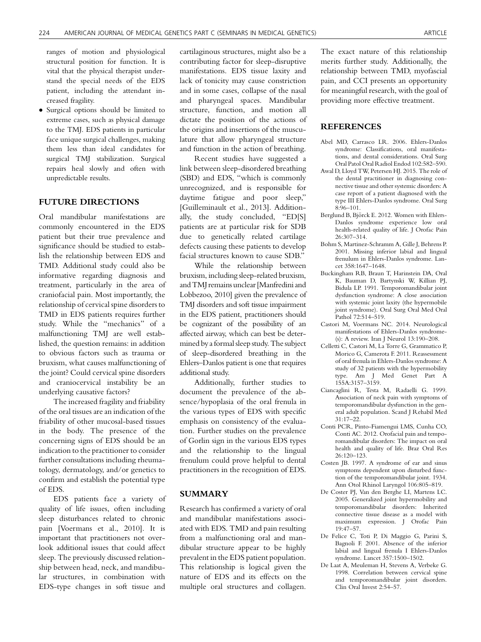ranges of motion and physiological structural position for function. It is vital that the physical therapist understand the special needs of the EDS patient, including the attendant increased fragility.

- Surgical options should be limited to extreme cases, such as physical damage to the TMJ. EDS patients in particular face unique surgical challenges, making them less than ideal candidates for surgical TMJ stabilization. Surgical repairs heal slowly and often with unpredictable results.

## FUTURE DIRECTIONS

Oral mandibular manifestations are commonly encountered in the EDS patient but their true prevalence and significance should be studied to establish the relationship between EDS and TMD. Additional study could also be informative regarding diagnosis and treatment, particularly in the area of craniofacial pain. Most importantly, the relationship of cervical spine disorders to TMD in EDS patients requires further study. While the "mechanics" of a malfunctioning TMJ are well established, the question remains: in addition to obvious factors such as trauma or bruxism, what causes malfunctioning of the joint? Could cervical spine disorders and craniocervical instability be an underlying causative factors?

The increased fragility and friability of the oral tissues are an indication of the friability of other mucosal-based tissues in the body. The presence of the concerning signs of EDS should be an indication to the practitioner to consider further consultations including rheumatology, dermatology, and/or genetics to confirm and establish the potential type of EDS.

EDS patients face a variety of quality of life issues, often including sleep disturbances related to chronic pain [Voermans et al., 2010]. It is important that practitioners not overlook additional issues that could affect sleep. The previously discussed relationship between head, neck, and mandibular structures, in combination with EDS-type changes in soft tissue and

cartilaginous structures, might also be a contributing factor for sleep-disruptive manifestations. EDS tissue laxity and lack of tonicity may cause constriction and in some cases, collapse of the nasal and pharyngeal spaces. Mandibular structure, function, and motion all dictate the position of the actions of the origins and insertions of the musculature that allow pharyngeal structure and function in the action of breathing.

Recent studies have suggested a link between sleep-disordered breathing (SBD) and EDS, "which is commonly unrecognized, and is responsible for daytime fatigue and poor sleep," [Guilleminault et al., 2013]. Additionally, the study concluded, "ED[S] patients are at particular risk for SDB due to genetically related cartilage defects causing these patients to develop facial structures known to cause SDB."

While the relationship between bruxism, including sleep-related bruxism, andTMJ remains unclear [Manfredini and Lobbezoo, 2010] given the prevalence of TMJ disorders and soft tissue impairment in the EDS patient, practitioners should be cognizant of the possibility of an affected airway, which can best be determined by a formal sleep study. The subject of sleep-disordered breathing in the Ehlers–Danlos patient is one that requires additional study.

Additionally, further studies to document the prevalence of the absence/hypoplasia of the oral frenula in the various types of EDS with specific emphasis on consistency of the evaluation. Further studies on the prevalence of Gorlin sign in the various EDS types and the relationship to the lingual frenulum could prove helpful to dental practitioners in the recognition of EDS.

#### SUMMARY

Research has confirmed a variety of oral and mandibular manifestations associated with EDS. TMD and pain resulting from a malfunctioning oral and mandibular structure appear to be highly prevalent in the EDS patient population. This relationship is logical given the nature of EDS and its effects on the multiple oral structures and collagen.

The exact nature of this relationship merits further study. Additionally, the relationship between TMD, myofascial pain, and CCI presents an opportunity for meaningful research, with the goal of providing more effective treatment.

#### REFERENCES

- Abel MD, Carrasco LR. 2006. Ehlers-Danlos syndrome: Classifications, oral manifestations, and dental considerations. Oral Surg Oral Patol Oral Radiol Endod 102:582–590.
- Awal D, Lloyd TW, Petersen HJ. 2015. The role of the dental practitioner in diagnosing connective tissue and other systemic disorders: A case report of a patient diagnosed with the type III Ehlers-Danlos syndrome. Oral Surg 8:96–101.
- Berglund B, Björck E. 2012. Women with Ehlers-Danlos syndrome experience low oral health-related quality of life. J Orofac Pain 26:307–314.
- Bohm S, Martinez-Schramm A, Gille J, Behrens P. 2001. Missing inferior labial and lingual frenulum in Ehlers-Danlos syndrome. Lancet 358:1647–1648.
- Buckingham RB, Braun T, Harinstein DA, Oral K, Bauman D, Bartynski W, Killian PJ, Bidula LP. 1991. Temporomandibular joint dysfunction syndrome: A close association with systemic joint laxity (the hypermobile joint syndrome). Oral Surg Oral Med Oral Pathol 72:514–519.
- Castori M, Voermans NC. 2014. Neurological manifestations of Ehlers-Danlos syndrome- (s): A review. Iran J Neurol 13:190–208.
- Celletti C, Castori M, La Torre G, Grammatico P, Morico G, Camerota F. 2011. Reassessment of oral frenula in Ehlers-Danlos syndrome: A study of 32 patients with the hypermobility type. Am J Med Genet Part A 155A:3157–3159.
- Ciancaglini R, Testa M, Radaelli G. 1999. Association of neck pain with symptoms of temporomandibular dysfunction in the general adult population. Scand J Rehabil Med 31:17–22.
- Conti PCR, Pinto-Fiamengui LMS, Cunha CO, Conti AC. 2012. Orofacial pain and temporomandibular disorders: The impact on oral health and quality of life. Braz Oral Res 26:120–123.
- Costen JB. 1997. A syndrome of ear and sinus symptoms dependent upon disturbed function of the temporomandibular joint. 1934. Ann Otol Rhinol Laryngol 106:805–819.
- De Coster PJ, Van den Berghe LI, Martens LC. 2005. Generalized joint hypermobility and temporomandibular disorders: Inherited connective tissue disease as a model with maximum expression. J Orofac Pain 19:47–57.
- De Felice C, Toti P, Di Maggio G, Parini S, Bagnoli F. 2001. Absence of the inferior labial and lingual frenula I Ehlers-Danlos syndrome. Lancet 357:1500–1502.
- De Laat A, Meuleman H, Stevens A, Verbeke G. 1998. Correlation between cervical spine and temporomandibular joint disorders. Clin Oral Invest 2:54–57.